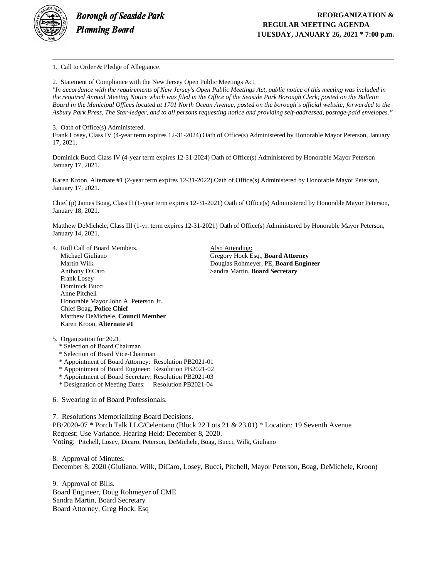

1. Call to Order & Pledge of Allegiance.

2. Statement of Compliance with the New Jersey Open Public Meetings Act.

*"In accordance with the requirements of New Jersey's Open Public Meetings Act, public notice of this meeting was included in the required Annual Meeting Notice which was filed in the Office of the Seaside Park Borough Clerk; posted on the Bulletin Board in the Municipal Offices located at 1701 North Ocean Avenue; posted on the borough's official website; forwarded to the Asbury Park Press, The Star-ledger, and to all persons requesting notice and providing self-addressed, postage-paid envelopes."*

3. Oath of Office(s) Administered.

Frank Losey, Class IV (4-year term expires 12-31-2024) Oath of Office(s) Administered by Honorable Mayor Peterson, January 17, 2021.

Dominick Bucci Class IV (4-year term expires 12-31-2024) Oath of Office(s) Administered by Honorable Mayor Peterson January 17, 2021.

Karen Kroon, Alternate #1 (2-year term expires 12-31-2022) Oath of Office(s) Administered by Honorable Mayor Peterson, January 17, 2021.

Chief (p) James Boag, Class II (1-year term expires 12-31-2021) Oath of Office(s) Administered by Honorable Mayor Peterson, January 18, 2021.

Matthew DeMichele, Class III (1-yr. term expires 12-31-2021) Oath of Office(s) Administered by Honorable Mayor Peterson, January 14, 2021.

4. Roll Call of Board Members. Also Attending: Michael Giuliano Gregory Hock Esq., **Board Attorney** Anthony DiCaro Sandra Martin, **Board Secretary** Frank Losey Dominick Bucci Anne Pitchell Honorable Mayor John A. Peterson Jr. Chief Boag, **Police Chief** Matthew DeMichele, **Council Member** Karen Kroon, **Alternate #1**

**Douglas Rohmeyer, PE, Board Engineer** 

5. Organization for 2021.

- \* Selection of Board Chairman
- \* Selection of Board Vice-Chairman
- \* Appointment of Board Attorney: Resolution PB2021-01
- \* Appointment of Board Engineer: Resolution PB2021-02
- \* Appointment of Board Secretary: Resolution PB2021-03
- \* Designation of Meeting Dates: Resolution PB2021-04
- 6. Swearing in of Board Professionals.

7. Resolutions Memorializing Board Decisions. PB/2020-07 \* Porch Talk LLC/Celentano (Block 22 Lots 21 & 23.01) \* Location: 19 Seventh Avenue Request: Use Variance, Hearing Held: December 8, 2020. Voting: Pitchell, Losey, Dicaro, Peterson, DeMichele, Boag, Bucci, Wilk, Giuliano

8. Approval of Minutes: December 8, 2020 (Giuliano, Wilk, DiCaro, Losey, Bucci, Pitchell, Mayor Peterson, Boag, DeMichele, Kroon)

9. Approval of Bills. Board Engineer, Doug Rohmeyer of CME Sandra Martin, Board Secretary Board Attorney, Greg Hock. Esq